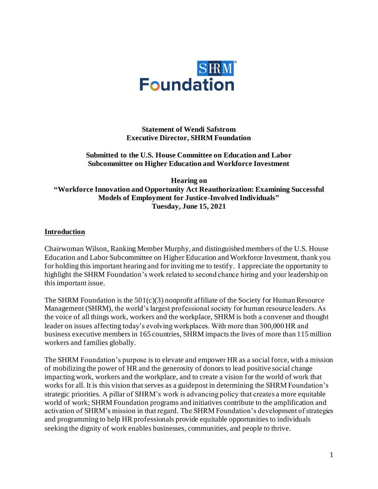

**Statement of Wendi Safstrom Executive Director, SHRM Foundation**

#### **Submitted to the U.S. House Committee on Education and Labor Subcommittee on Higher Education and Workforce Investment**

**Hearing on "Workforce Innovation and Opportunity Act Reauthorization: Examining Successful Models of Employment for Justice-Involved Individuals" Tuesday, June 15, 2021**

#### **Introduction**

Chairwoman Wilson, Ranking Member Murphy, and distinguished members of the U.S. House Education and Labor Subcommittee on Higher Education and Workforce Investment, thank you for holding this important hearing and for inviting me to testify. I appreciate the opportunity to highlight the SHRM Foundation's work related to second chance hiring and your leadership on this important issue.

The SHRM Foundation is the  $501(c)(3)$  nonprofit affiliate of the Society for Human Resource Management (SHRM), the world's largest professional society for human resource leaders. As the voice of all things work, workers and the workplace, SHRM is both a convener and thought leader on issues affecting today's evolving workplaces. With more than 300,000 HR and business executive members in 165 countries, SHRM impacts the lives of more than 115 million workers and families globally.

The SHRM Foundation's purpose is to elevate and empower HR as a social force, with a mission of mobilizing the power of HR and the generosity of donors to lead positive social change impacting work, workers and the workplace, and to create a vision for the world of work that works for all. It is this vision that serves as a guidepost in determining the SHRM Foundation's strategic priorities. A pillar of SHRM's work is advancing policy that creates a more equitable world of work; SHRM Foundation programs and initiatives contribute to the amplification and activation of SHRM's mission in that regard. The SHRM Foundation's development of strategies and programming to help HR professionals provide equitable opportunities to individuals seeking the dignity of work enables businesses, communities, and people to thrive.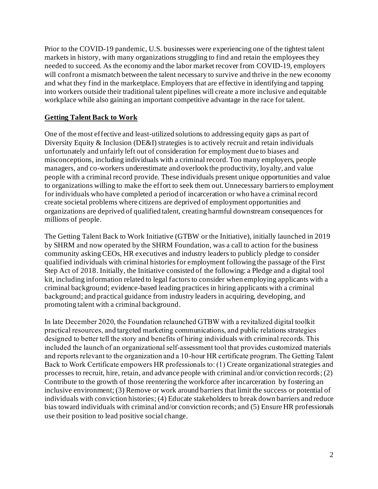Prior to the COVID-19 pandemic, U.S. businesses were experiencing one of the tightest talent markets in history, with many organizations struggling to find and retain the employees they needed to succeed. As the economy and the labor market recover from COVID-19, employers will confront a mismatch between the talent necessary to survive and thrive in the new economy and what they find in the marketplace. Employers that are effective in identifying and tapping into workers outside their traditional talent pipelines will create a more inclusive and equitable workplace while also gaining an important competitive advantage in the race for talent.

#### **Getting Talent Back to Work**

One of the most effective and least-utilized solutions to addressing equity gaps as part of Diversity Equity & Inclusion (DE&I) strategies is to actively recruit and retain individuals unfortunately and unfairly left out of consideration for employment due to biases and misconceptions, including individuals with a criminal record. Too many employers, people managers, and co-workers underestimate and overlook the productivity, loyalty, and value people with a criminal record provide. These individuals present unique opportunities and value to organizations willing to make the effort to seek them out. Unnecessary barriers to employment for individuals who have completed a period of incarceration or who have a criminal record create societal problems where citizens are deprived of employment opportunities and organizations are deprived of qualified talent, creating harmful downstream consequences for millions of people.

The Getting Talent Back to Work Initiative (GTBW or the Initiative), initially launched in 2019 by SHRM and now operated by the SHRM Foundation, was a call to action for the business community asking CEOs, HR executives and industry leaders to publicly pledge to consider qualified individuals with criminal histories for employment following the passage of the First Step Act of 2018. Initially, the Initiative consisted of the following: a Pledge and a digital tool kit, including information related to legal factors to consider when employing applicants with a criminal background; evidence-based leading practices in hiring applicants with a criminal background; and practical guidance from industry leaders in acquiring, developing, and promoting talent with a criminal background.

In late December 2020, the Foundation relaunched GTBW with a revitalized digital toolkit practical resources, and targeted marketing communications, and public relations strategies designed to better tell the story and benefits of hiring individuals with criminal records.This included the launch of an organizational self-assessment tool that provides customized materials and reports relevant to the organization and a 10-hour HR certificate program. The Getting Talent Back to Work Certificate empowers HR professionals to: (1) Create organizational strategies and processes to recruit, hire, retain, and advance people with criminal and/or conviction records; (2) Contribute to the growth of those reentering the workforce after incarceration by fostering an inclusive environment; (3) Remove or work around barriers that limit the success or potential of individuals with conviction histories; (4) Educate stakeholders to break down barriers and reduce bias toward individuals with criminal and/or conviction records; and (5) Ensure HR professionals use their position to lead positive social change.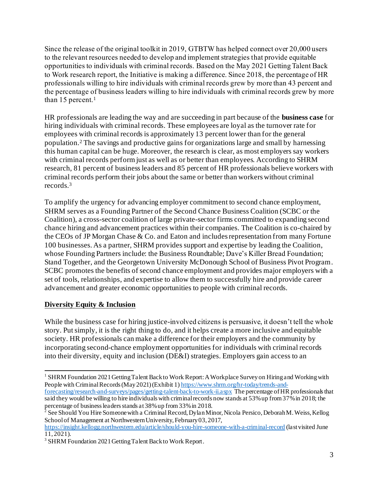Since the release of the original toolkit in 2019, GTBTW has helped connect over 20,000 users to the relevant resources needed to develop and implement strategies that provide equitable opportunities to individuals with criminal records. Based on the May 2021 Getting Talent Back to Work research report, the Initiative is making a difference. Since 2018, the percentage of HR professionals willing to hire individuals with criminal records grew by more than 43 percent and the percentage of business leaders willing to hire individuals with criminal records grew by more than 15 percent.<sup>1</sup>

HR professionals are leading the way and are succeeding in part because of the **business case** for hiring individuals with criminal records. These employees are loyal as the turnover rate for employees with criminal records is approximately 13 percent lower than for the general population.<sup>2</sup> The savings and productive gains for organizations large and small by harnessing this human capital can be huge. Moreover, the research is clear, as most employers say workers with criminal records perform just as well as or better than employees. According to SHRM research, 81 percent of business leaders and 85 percent of HR professionals believe workers with criminal records perform their jobs about the same or better than workers without criminal records.<sup>3</sup>

To amplify the urgency for advancing employer commitment to second chance employment, SHRM serves as a Founding Partner of the Second Chance Business Coalition (SCBC or the Coalition), a cross-sector coalition of large private-sector firms committed to expanding second chance hiring and advancement practices within their companies. The Coalition is co-chaired by the CEOs of JP Morgan Chase & Co. and Eaton and includes representation from many Fortune 100 businesses. As a partner, SHRM provides support and expertise by leading the Coalition, whose Founding Partners include: the Business Roundtable; Dave's Killer Bread Foundation; Stand Together, and the Georgetown University McDonough School of Business Pivot Program. SCBC promotes the benefits of second chance employment and provides major employers with a set of tools, relationships, and expertise to allow them to successfully hire and provide career advancement and greater economic opportunities to people with criminal records.

# **Diversity Equity & Inclusion**

While the business case for hiring justice-involved citizens is persuasive, it doesn't tell the whole story. Put simply, it is the right thing to do, and it helps create a more inclusive and equitable society. HR professionals can make a difference for their employers and the community by incorporating second-chance employment opportunities for individuals with criminal records into their diversity, equity and inclusion (DE&I) strategies. Employers gain access to an

<sup>&</sup>lt;sup>1</sup> SHRM Foundation 2021 Getting Talent Back to Work Report: A Workplace Survey on Hiring and Working with People with Criminal Records (May 2021) (Exhibit 1) [https://www.shrm.org/hr-today/trends-and](https://www.shrm.org/hr-today/trends-and-forecasting/research-and-surveys/pages/getting-talent-back-to-work-ii.aspx)[forecasting/research-and-surveys/pages/getting-talent-back-to-work-ii.aspx](https://www.shrm.org/hr-today/trends-and-forecasting/research-and-surveys/pages/getting-talent-back-to-work-ii.aspx) The percentage of HR professionals that said they would be willing to hire individuals with criminal records now stands at 53% up from 37% in 2018; the percentage of business leaders stands at 38% up from 33% in 2018.

<sup>&</sup>lt;sup>2</sup> See Should You Hire Someone with a Criminal Record, Dylan Minor, Nicola Persico, Deborah M. Weiss, Kellog School of Management at Northwestern University, February 03, 2017,

<https://insight.kellogg.northwestern.edu/article/should-you-hire-someone-with-a-criminal-record> (last visited June 11, 2021).

<sup>&</sup>lt;sup>3</sup> SHRM Foundation 2021 Getting Talent Back to Work Report.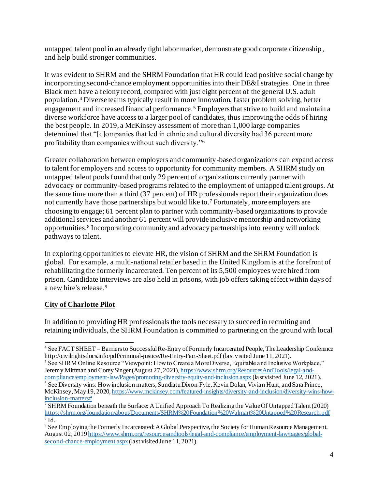untapped talent pool in an already tight labor market, demonstrate good corporate citizenship, and help build stronger communities.

It was evident to SHRM and the SHRM Foundation that HR could lead positive social change by incorporating second-chance employment opportunities into their DE&I strategies. One in three Black men have a felony record, compared with just eight percent of the general U.S. adult population.<sup>4</sup> Diverse teams typically result in more innovation, faster problem solving, better engagement and increased financial performance.<sup>5</sup> Employers that strive to build and maintain a diverse workforce have access to a larger pool of candidates, thus improving the odds of hiring the best people. In 2019, a McKinsey assessment of more than 1,000 large companies determined that "[c]ompanies that led in ethnic and cultural diversity had 36 percent more profitability than companies without such diversity." 6

Greater collaboration between employers and community-based organizations can expand access to talent for employers and access to opportunity for community members. A SHRM study on untapped talent pools found that only 29 percent of organizations currently partner with advocacy or community-based programs related to the employment of untapped talent groups. At the same time more than a third (37 percent) of HR professionals report their organization does not currently have those partnerships but would like to.<sup>7</sup> Fortunately, more employers are choosing to engage; 61 percent plan to partner with community-based organizations to provide additional services and another 61 percent will provide inclusive mentorship and networking opportunities.<sup>8</sup> Incorporating community and advocacy partnerships into reentry will unlock pathways to talent.

In exploring opportunities to elevate HR, the vision of SHRM and the SHRM Foundation is global. For example, a multi-national retailer based in the United Kingdom is at the forefront of rehabilitating the formerly incarcerated. Ten percent of its 5,500 employees were hired from prison. Candidate interviews are also held in prisons, with job offers taking effect within days of a new hire's release. 9

# **City of Charlotte Pilot**

In addition to providing HR professionals the tools necessary to succeed in recruiting and retaining individuals, the SHRM Foundation is committed to partnering on the ground with local

<sup>4</sup> See FACT SHEET – Barriers to Successful Re-Entry of Formerly Incarcerated People, The Leadership Conference http://civilrightsdocs.info/pdf/criminal-justice/Re-Entry-Fact-Sheet.pdf (last visited June 11, 2021).

<sup>&</sup>lt;sup>5</sup> See SHRM Online Resource "Viewpoint: How to Create a More Diverse, Equitable and Inclusive Workplace," Jeremy Mittman and Corey Singer (August 27, 2021)[, https://www.shrm.org/ResourcesAndTools/legal-and-](https://www.shrm.org/ResourcesAndTools/legal-and-compliance/employment-law/Pages/promoting-diversity-equity-and-inclusion.aspx)

[compliance/employment-law/Pages/promoting-diversity-equity-and-inclusion.aspx](https://www.shrm.org/ResourcesAndTools/legal-and-compliance/employment-law/Pages/promoting-diversity-equity-and-inclusion.aspx) (last visited June 12, 2021). <sup>6</sup> See Diversity wins: How inclusion matters, Sundiatu Dixon-Fyle, Kevin Dolan, Vivian Hunt, and Sara Prince, McKinsey, May 19, 202[0, https://www.mckinsey.com/featured-insights/diversity-and-inclusion/diversity-wins-how](https://www.mckinsey.com/featured-insights/diversity-and-inclusion/diversity-wins-how-inclusion-matters)[inclusion-matters#](https://www.mckinsey.com/featured-insights/diversity-and-inclusion/diversity-wins-how-inclusion-matters)

<sup>&</sup>lt;sup>7</sup> SHRM Foundation beneath the Surface: A Unified Approach To Realizing the Value Of Untapped Talent (2020) <https://shrm.org/foundation/about/Documents/SHRM%20Foundation%20Walmart%20Untapped%20Research.pdf>  $^8$  Id.

<sup>&</sup>lt;sup>9</sup> See Employing the Formerly Incarcerated: A Global Perspective, the Society for Human Resource Management, August 02, 201[9 https://www.shrm.org/resourcesandtools/legal-and-compliance/employment-law/pages/global](https://www.shrm.org/resourcesandtools/legal-and-compliance/employment-law/pages/global-second-chance-employment.aspx)[second-chance-employment.aspx](https://www.shrm.org/resourcesandtools/legal-and-compliance/employment-law/pages/global-second-chance-employment.aspx) (last visited June 11, 2021).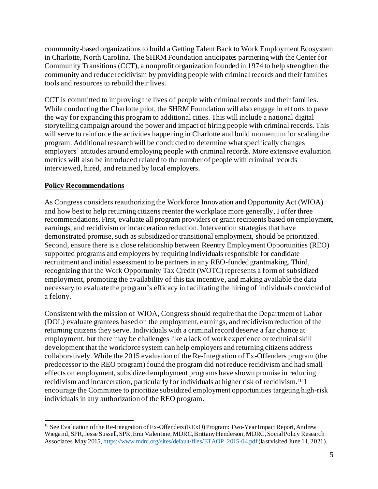community-based organizations to build a Getting Talent Back to Work Employment Ecosystem in Charlotte, North Carolina. The SHRM Foundation anticipates partnering with the Center for Community Transitions (CCT), a nonprofit organization founded in 1974 to help strengthen the community and reduce recidivism by providing people with criminal records and their families tools and resources to rebuild their lives.

CCT is committed to improving the lives of people with criminal records and their families. While conducting the Charlotte pilot, the SHRM Foundation will also engage in efforts to pave the way for expanding this program to additional cities. This will include a national digital storytelling campaign around the power and impact of hiring people with criminal records. This will serve to reinforce the activities happening in Charlotte and build momentum for scaling the program. Additional research will be conducted to determine what specifically changes employers' attitudes around employing people with criminal records. More extensive evaluation metrics will also be introduced related to the number of people with criminal records interviewed, hired, and retained by local employers.

### **Policy Recommendations**

As Congress considers reauthorizing the Workforce Innovation and Opportunity Act (WIOA) and how best to help returning citizens reenter the workplace more generally, I offer three recommendations. First, evaluate all program providers or grant recipients based on employment, earnings, and recidivism or incarceration reduction. Intervention strategies that have demonstrated promise, such as subsidized or transitional employment, should be prioritized. Second, ensure there is a close relationship between Reentry Employment Opportunities (REO) supported programs and employers by requiring individuals responsible for candidate recruitment and initial assessment to be partners in any REO-funded grantmaking. Third, recognizing that the Work Opportunity Tax Credit (WOTC) represents a form of subsidized employment, promoting the availability of this tax incentive, and making available the data necessary to evaluate the program's efficacy in facilitating the hiring of individuals convicted of a felony.

Consistent with the mission of WIOA, Congress should require that the Department of Labor (DOL) evaluate grantees based on the employment, earnings, and recidivism reduction of the returning citizens they serve. Individuals with a criminal record deserve a fair chance at employment, but there may be challenges like a lack of work experience or technical skill development that the workforce system can help employers and returning citizens address collaboratively. While the 2015 evaluation of the Re-Integration of Ex-Offenders program (the predecessor to the REO program) found the program did not reduce recidivism and had small effects on employment, subsidized employment programs have shown promise in reducing recidivism and incarceration, particularly for individuals at higher risk of recidivism. <sup>10</sup> I encourage the Committee to prioritize subsidized employment opportunities targeting high-risk individuals in any authorization of the REO program.

<sup>&</sup>lt;sup>10</sup> See Evaluation of the Re-Integration of Ex-Offenders (RExO) Program: Two-Year Impact Report, Andrew Wiegand, SPR, Jesse Sussell, SPR, Erin Valentine, MDRC, Brittany Henderson, MDRC, Social Policy Research Associates, May 2015[, https://www.mdrc.org/sites/default/files/ETAOP\\_2015-04.pdf](https://www.mdrc.org/sites/default/files/ETAOP_2015-04.pdf)(last visited June 11, 2021).